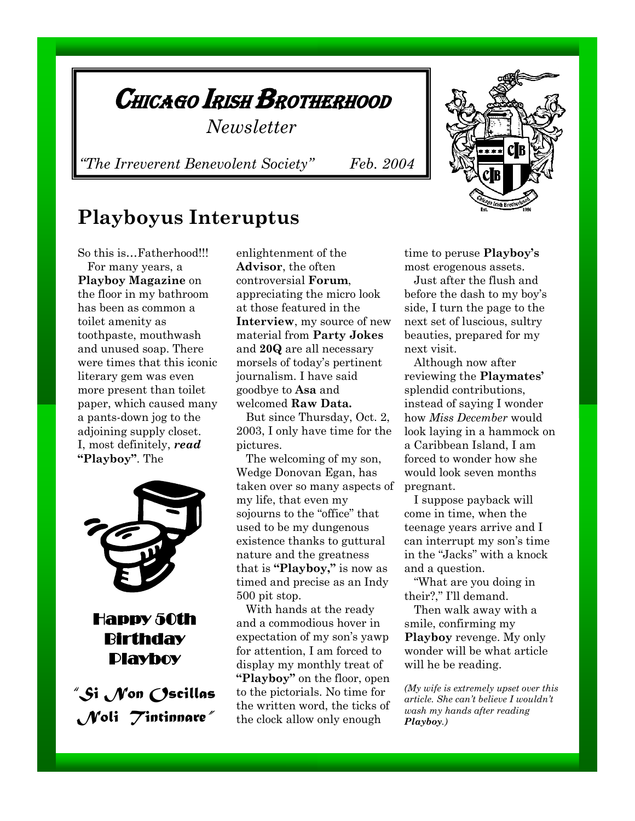

*"The Irreverent Benevolent Society" Feb. 2004* 

### **Playboyus Interuptus**

So this is…Fatherhood!!! For many years, a **Playboy Magazine** on the floor in my bathroom has been as common a toilet amenity as toothpaste, mouthwash and unused soap. There were times that this iconic literary gem was even more present than toilet paper, which caused many a pants-down jog to the adjoining supply closet. I, most definitely, *read* **"Playboy"**. The



### Happy 50th **Birthday** Playboy

*"Si Non Oscillas Noli Tintinnare"*

enlightenment of the **Advisor**, the often controversial **Forum**, appreciating the micro look at those featured in the **Interview**, my source of new material from **Party Jokes** and **20Q** are all necessary morsels of today's pertinent journalism. I have said goodbye to **Asa** and welcomed **Raw Data.**

 But since Thursday, Oct. 2, 2003, I only have time for the pictures.

 The welcoming of my son, Wedge Donovan Egan, has taken over so many aspects of my life, that even my sojourns to the "office" that used to be my dungenous existence thanks to guttural nature and the greatness that is **"Playboy,"** is now as timed and precise as an Indy 500 pit stop.

 With hands at the ready and a commodious hover in expectation of my son's yawp for attention, I am forced to display my monthly treat of **"Playboy"** on the floor, open to the pictorials. No time for the written word, the ticks of the clock allow only enough

time to peruse **Playboy's** most erogenous assets.

 Just after the flush and before the dash to my boy's side, I turn the page to the next set of luscious, sultry beauties, prepared for my next visit.

 Although now after reviewing the **Playmates'**  splendid contributions, instead of saying I wonder how *Miss December* would look laying in a hammock on a Caribbean Island, I am forced to wonder how she would look seven months pregnant.

 I suppose payback will come in time, when the teenage years arrive and I can interrupt my son's time in the "Jacks" with a knock and a question.

 "What are you doing in their?," I'll demand.

 Then walk away with a smile, confirming my **Playboy** revenge. My only wonder will be what article will he be reading.

*(My wife is extremely upset over this article. She can't believe I wouldn't wash my hands after reading Playboy.)*

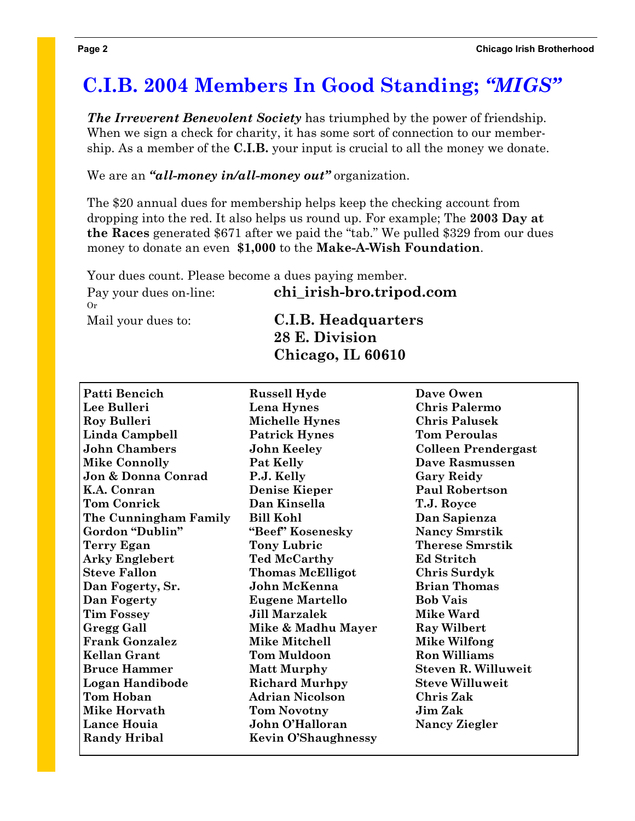# **C.I.B. 2004 Members In Good Standing;** *"MIGS"*

*The Irreverent Benevolent Society* has triumphed by the power of friendship. When we sign a check for charity, it has some sort of connection to our membership. As a member of the **C.I.B.** your input is crucial to all the money we donate.

We are an *"all-money in/all-money out"* organization.

The \$20 annual dues for membership helps keep the checking account from dropping into the red. It also helps us round up. For example; The **2003 Day at the Races** generated \$671 after we paid the "tab." We pulled \$329 from our dues money to donate an even **\$1,000** to the **Make-A-Wish Foundation**.

| Your dues count. Please become a dues paying member. |                            |
|------------------------------------------------------|----------------------------|
| Pay your dues on-line:<br>$O_r$                      | chi irish-bro.tripod.com   |
| Mail your dues to:                                   | <b>C.I.B. Headquarters</b> |
|                                                      | 28 E. Division             |
|                                                      | Chicago, IL 60610          |

| Patti Bencich         | <b>Russell Hyde</b>        | Dave Owen                  |
|-----------------------|----------------------------|----------------------------|
| Lee Bulleri           | Lena Hynes                 | <b>Chris Palermo</b>       |
| Roy Bulleri           | <b>Michelle Hynes</b>      | <b>Chris Palusek</b>       |
| Linda Campbell        | <b>Patrick Hynes</b>       | <b>Tom Peroulas</b>        |
| <b>John Chambers</b>  | <b>John Keeley</b>         | <b>Colleen Prendergast</b> |
| <b>Mike Connolly</b>  | Pat Kelly                  | <b>Dave Rasmussen</b>      |
| Jon & Donna Conrad    | P.J. Kelly                 | <b>Gary Reidy</b>          |
| K.A. Conran           | <b>Denise Kieper</b>       | <b>Paul Robertson</b>      |
| <b>Tom Conrick</b>    | Dan Kinsella               | T.J. Royce                 |
| The Cunningham Family | <b>Bill Kohl</b>           | Dan Sapienza               |
| Gordon "Dublin"       | "Beef" Kosenesky           | <b>Nancy Smrstik</b>       |
| Terry Egan            | <b>Tony Lubric</b>         | <b>Therese Smrstik</b>     |
| <b>Arky Englebert</b> | <b>Ted McCarthy</b>        | <b>Ed Stritch</b>          |
| <b>Steve Fallon</b>   | <b>Thomas McElligot</b>    | <b>Chris Surdyk</b>        |
| Dan Fogerty, Sr.      | John McKenna               | <b>Brian Thomas</b>        |
| Dan Fogerty           | <b>Eugene Martello</b>     | <b>Bob Vais</b>            |
| <b>Tim Fossey</b>     | <b>Jill Marzalek</b>       | <b>Mike Ward</b>           |
| <b>Gregg Gall</b>     | Mike & Madhu Mayer         | <b>Ray Wilbert</b>         |
| <b>Frank Gonzalez</b> | <b>Mike Mitchell</b>       | Mike Wilfong               |
| <b>Kellan Grant</b>   | <b>Tom Muldoon</b>         | <b>Ron Williams</b>        |
| <b>Bruce Hammer</b>   | <b>Matt Murphy</b>         | <b>Steven R. Willuweit</b> |
| Logan Handibode       | <b>Richard Murhpy</b>      | <b>Steve Willuweit</b>     |
| <b>Tom Hoban</b>      | <b>Adrian Nicolson</b>     | <b>Chris Zak</b>           |
| Mike Horvath          | <b>Tom Novotny</b>         | <b>Jim Zak</b>             |
| Lance Houia           | John O'Halloran            | <b>Nancy Ziegler</b>       |
| <b>Randy Hribal</b>   | <b>Kevin O'Shaughnessy</b> |                            |
|                       |                            |                            |